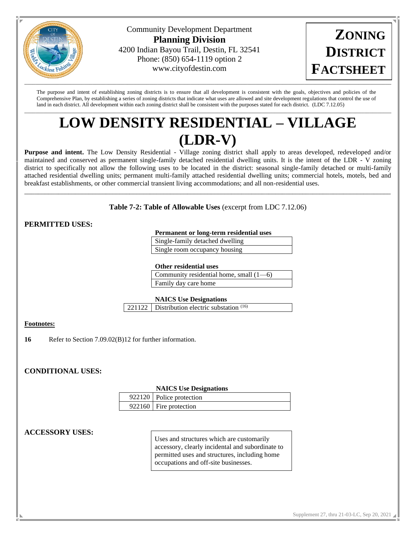

Community Development Department **Planning Division** 4200 Indian Bayou Trail, Destin, FL 32541 Phone: (850) 654-1119 option 2 www.cityofdestin.com



The purpose and intent of establishing zoning districts is to ensure that all development is consistent with the goals, objectives and policies of the Comprehensive Plan, by establishing a series of zoning districts that indicate what uses are allowed and site development regulations that control the use of land in each district. All development within each zoning district shall be consistent with the purposes stated for each district. (LDC 7.12.05)

# $\Box$ **LOW DENSITY RESIDENTIAL – VILLAGE (LDR-V)**

**Purpose and intent.** The Low Density Residential - Village zoning district shall apply to areas developed, redeveloped and/or maintained and conserved as permanent single-family detached residential dwelling units. It is the intent of the LDR - V zoning district to specifically not allow the following uses to be located in the district: seasonal single-family detached or multi-family attached residential dwelling units; permanent multi-family attached residential dwelling units; commercial hotels, motels, bed and breakfast establishments, or other commercial transient living accommodations; and all non-residential uses.

**Table 7-2: Table of Allowable Uses** (excerpt from LDC 7.12.06)

\_\_\_\_\_\_\_\_\_\_\_\_\_\_\_\_\_\_\_\_\_\_\_\_\_\_\_\_\_\_\_\_\_\_\_\_\_\_\_\_\_\_\_\_\_\_\_\_\_\_\_\_\_\_\_\_\_\_\_\_\_\_\_\_\_\_\_\_\_\_\_\_\_\_\_\_\_\_\_\_\_\_\_\_\_\_\_\_\_\_\_\_\_\_\_\_\_\_\_\_\_\_\_\_\_\_\_\_

# **PERMITTED USES:**

### **Permanent or long-term residential uses**

| Single-family detached dwelling |
|---------------------------------|
| Single room occupancy housing   |

#### **Other residential uses**

| Community residential home, small $(1-6)$ |  |
|-------------------------------------------|--|
| Family day care home                      |  |

#### **NAICS Use Designations**

221122 | Distribution electric substation (16)

## **Footnotes:**

**16** Refer to Section 7.09.02(B)12 for further information.

# **CONDITIONAL USES:**

#### **NAICS Use Designations**

| 922120 Police protection |
|--------------------------|
| 922160 Fire protection   |

# **ACCESSORY USES:**

Uses and structures which are customarily accessory, clearly incidental and subordinate to permitted uses and structures, including home occupations and off-site businesses.